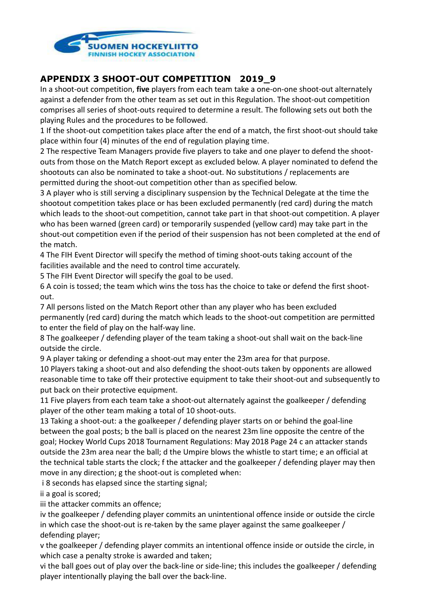

## **APPENDIX 3 SHOOT-OUT COMPETITION 2019\_9**

In a shoot-out competition, **five** players from each team take a one-on-one shoot-out alternately against a defender from the other team as set out in this Regulation. The shoot-out competition comprises all series of shoot-outs required to determine a result. The following sets out both the playing Rules and the procedures to be followed.

1 If the shoot-out competition takes place after the end of a match, the first shoot-out should take place within four (4) minutes of the end of regulation playing time.

2 The respective Team Managers provide five players to take and one player to defend the shootouts from those on the Match Report except as excluded below. A player nominated to defend the shootouts can also be nominated to take a shoot-out. No substitutions / replacements are permitted during the shoot-out competition other than as specified below.

3 A player who is still serving a disciplinary suspension by the Technical Delegate at the time the shootout competition takes place or has been excluded permanently (red card) during the match which leads to the shoot-out competition, cannot take part in that shoot-out competition. A player who has been warned (green card) or temporarily suspended (yellow card) may take part in the shout-out competition even if the period of their suspension has not been completed at the end of the match.

4 The FIH Event Director will specify the method of timing shoot-outs taking account of the facilities available and the need to control time accurately.

5 The FIH Event Director will specify the goal to be used.

6 A coin is tossed; the team which wins the toss has the choice to take or defend the first shootout.

7 All persons listed on the Match Report other than any player who has been excluded permanently (red card) during the match which leads to the shoot-out competition are permitted to enter the field of play on the half-way line.

8 The goalkeeper / defending player of the team taking a shoot-out shall wait on the back-line outside the circle.

9 A player taking or defending a shoot-out may enter the 23m area for that purpose.

10 Players taking a shoot-out and also defending the shoot-outs taken by opponents are allowed reasonable time to take off their protective equipment to take their shoot-out and subsequently to put back on their protective equipment.

11 Five players from each team take a shoot-out alternately against the goalkeeper / defending player of the other team making a total of 10 shoot-outs.

13 Taking a shoot-out: a the goalkeeper / defending player starts on or behind the goal-line between the goal posts; b the ball is placed on the nearest 23m line opposite the centre of the goal; Hockey World Cups 2018 Tournament Regulations: May 2018 Page 24 c an attacker stands outside the 23m area near the ball; d the Umpire blows the whistle to start time; e an official at the technical table starts the clock; f the attacker and the goalkeeper / defending player may then move in any direction; g the shoot-out is completed when:

i 8 seconds has elapsed since the starting signal;

ii a goal is scored;

iii the attacker commits an offence;

iv the goalkeeper / defending player commits an unintentional offence inside or outside the circle in which case the shoot-out is re-taken by the same player against the same goalkeeper / defending player;

v the goalkeeper / defending player commits an intentional offence inside or outside the circle, in which case a penalty stroke is awarded and taken;

vi the ball goes out of play over the back-line or side-line; this includes the goalkeeper / defending player intentionally playing the ball over the back-line.